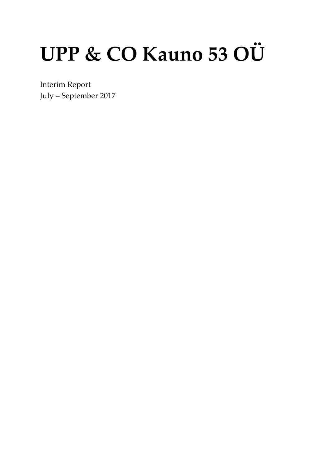# UPP & CO Kauno 53 OÜ

Interim Report July - September 2017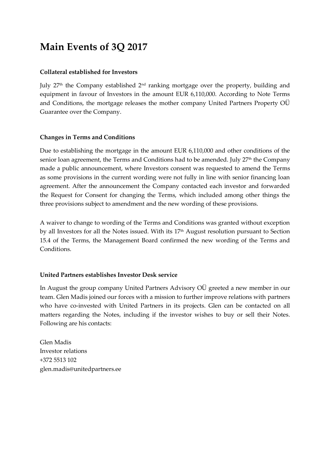## **Main Events of 3Q 2017**

#### **Collateral established for Investors**

July 27<sup>th</sup> the Company established 2<sup>nd</sup> ranking mortgage over the property, building and equipment in favour of Investors in the amount EUR 6,110,000. According to Note Terms and Conditions, the mortgage releases the mother company United Partners Property OÜ Guarantee over the Company.

#### **Changes in Terms and Conditions**

Due to establishing the mortgage in the amount EUR 6,110,000 and other conditions of the senior loan agreement, the Terms and Conditions had to be amended. July 27<sup>th</sup> the Company made a public announcement, where Investors consent was requested to amend the Terms as some provisions in the current wording were not fully in line with senior financing loan agreement. After the announcement the Company contacted each investor and forwarded the Request for Consent for changing the Terms, which included among other things the three provisions subject to amendment and the new wording of these provisions.

A waiver to change to wording of the Terms and Conditions was granted without exception by all Investors for all the Notes issued. With its 17<sup>th</sup> August resolution pursuant to Section 15.4 of the Terms, the Management Board confirmed the new wording of the Terms and Conditions.

#### **United Partners establishes Investor Desk service**

In August the group company United Partners Advisory OÜ greeted a new member in our team. Glen Madis joined our forces with a mission to further improve relations with partners who have co-invested with United Partners in its projects. Glen can be contacted on all matters regarding the Notes, including if the investor wishes to buy or sell their Notes. Following are his contacts:

Glen Madis Investor relations +372 5513 102 glen.madis@unitedpartners.ee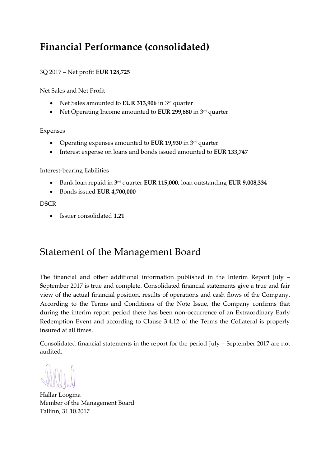## **Financial Performance (consolidated)**

#### 3Q 2017 – Net profit **EUR 128,725**

Net Sales and Net Profit

- Net Sales amounted to **EUR 313,906** in 3<sup>rd</sup> quarter
- Net Operating Income amounted to **EUR 299,880** in 3rd quarter

Expenses

- Operating expenses amounted to **EUR 19,930** in 3rd quarter
- Interest expense on loans and bonds issued amounted to **EUR 133,747**

Interest-bearing liabilities

- Bank loan repaid in 3rd quarter **EUR 115,000**, loan outstanding **EUR 9,008,334**
- Bonds issued **EUR 4,700,000**

#### **DSCR**

• Issuer consolidated **1.21**

## Statement of the Management Board

The financial and other additional information published in the Interim Report July – September 2017 is true and complete. Consolidated financial statements give a true and fair view of the actual financial position, results of operations and cash flows of the Company. According to the Terms and Conditions of the Note Issue, the Company confirms that during the interim report period there has been non-occurrence of an Extraordinary Early Redemption Event and according to Clause 3.4.12 of the Terms the Collateral is properly insured at all times.

Consolidated financial statements in the report for the period July – September 2017 are not audited.

Hallar Loogma Member of the Management Board Tallinn, 31.10.2017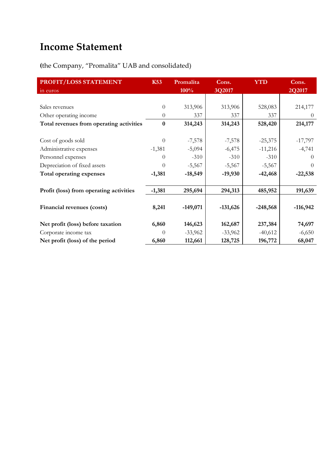# **Income Statement**

## **(**the Company, "Promalita" UAB and consolidated)

| PROFIT/LOSS STATEMENT                    | <b>K53</b> | Promalita  | Cons.      | <b>YTD</b> | Cons.      |
|------------------------------------------|------------|------------|------------|------------|------------|
| in euros                                 |            | 100%       | 3Q2017     |            | 2Q2017     |
|                                          |            |            |            |            |            |
| Sales revenues                           | $\theta$   | 313,906    | 313,906    | 528,083    | 214,177    |
| Other operating income                   | $\theta$   | 337        | 337        | 337        | $\theta$   |
| Total revenues from operating activities | $\bf{0}$   | 314,243    | 314,243    | 528,420    | 214,177    |
|                                          |            |            |            |            |            |
| Cost of goods sold                       | $\Omega$   | $-7,578$   | $-7,578$   | $-25,375$  | $-17,797$  |
| Administrative expenses                  | $-1,381$   | $-5,094$   | $-6,475$   | $-11,216$  | $-4,741$   |
| Personnel expenses                       | $\Omega$   | $-310$     | $-310$     | $-310$     | $\Omega$   |
| Depreciation of fixed assets             | $\Omega$   | $-5,567$   | $-5,567$   | $-5,567$   | $\Omega$   |
| Total operating expenses                 | $-1,381$   | $-18,549$  | $-19,930$  | $-42,468$  | $-22,538$  |
|                                          |            |            |            |            |            |
| Profit (loss) from operating activities  | $-1,381$   | 295,694    | 294,313    | 485,952    | 191,639    |
|                                          |            |            |            |            |            |
| Financial revenues (costs)               | 8,241      | $-149,071$ | $-131,626$ | $-248,568$ | $-116,942$ |
|                                          |            |            |            |            |            |
| Net profit (loss) before taxation        | 6,860      | 146,623    | 162,687    | 237,384    | 74,697     |
| Corporate income tax                     | $\Omega$   | $-33,962$  | $-33,962$  | $-40,612$  | $-6,650$   |
| Net profit (loss) of the period          | 6,860      | 112,661    | 128,725    | 196,772    | 68,047     |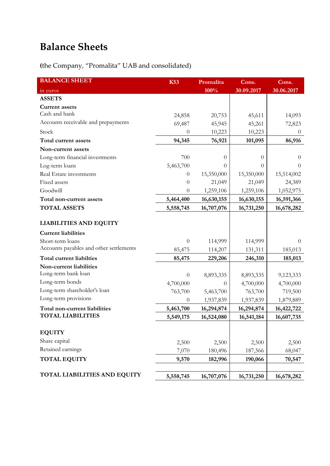# **Balance Sheets**

**(**the Company, "Promalita" UAB and consolidated)

| <b>BALANCE SHEET</b>                    | <b>K53</b> | Promalita  | Cons.      | Cons.      |
|-----------------------------------------|------------|------------|------------|------------|
| in euros                                |            | 100%       | 30.09.2017 | 30.06.2017 |
| <b>ASSETS</b>                           |            |            |            |            |
| <b>Current assets</b>                   |            |            |            |            |
| Cash and bank                           | 24,858     | 20,753     | 45,611     | 14,093     |
| Accounts receivable and prepayments     | 69,487     | 45,945     | 45,261     | 72,823     |
| Stock                                   | $\Omega$   | 10,223     | 10,223     | $\theta$   |
| Total current assets                    | 94,345     | 76,921     | 101,095    | 86,916     |
| Non-current assets                      |            |            |            |            |
| Long-term financial investments         | 700        | $\theta$   | $\theta$   | $\theta$   |
| Log-term loans                          | 5,463,700  | 0          | $\theta$   | $\Omega$   |
| Real Estate investments                 | $\theta$   | 15,350,000 | 15,350,000 | 15,514,002 |
| Fixed assets                            | $\theta$   | 21,049     | 21,049     | 24,389     |
| Goodwill                                | 0          | 1,259,106  | 1,259,106  | 1,052,975  |
| Total non-current assets                | 5,464,400  | 16,630,155 | 16,630,155 | 16,591,366 |
| <b>TOTAL ASSETS</b>                     | 5,558,745  | 16,707,076 | 16,731,250 | 16,678,282 |
|                                         |            |            |            |            |
| <b>LIABILITIES AND EQUITY</b>           |            |            |            |            |
| <b>Current liabilities</b>              |            |            |            |            |
| Short-term loans                        | $\theta$   | 114,999    | 114,999    | $\theta$   |
| Accounts payables and other settlements | 85,475     | 114,207    | 131,311    | 185,013    |
| Total current liabilties                | 85,475     | 229,206    | 246,310    | 185,013    |
| Non-current liabilities                 |            |            |            |            |
| Long-term bank loan                     | $\theta$   | 8,893,335  | 8,893,335  | 9,123,333  |
| Long-term bonds                         | 4,700,000  | $\theta$   | 4,700,000  | 4,700,000  |
| Long-term shareholder's loan            | 763,700    | 5,463,700  | 763,700    | 719,500    |
| Long-term provisions                    | $\theta$   | 1,937,839  | 1,937,839  | 1,879,889  |
| Total non-current liabilities           | 5,463,700  | 16,294,874 | 16,294,874 | 16,422,722 |
| <b>TOTAL LIABILITIES</b>                | 5,549,175  | 16,524,080 | 16,541,184 | 16,607,735 |
|                                         |            |            |            |            |
| <b>EQUITY</b>                           |            |            |            |            |
| Share capital                           | 2,500      | 2,500      | 2,500      | 2,500      |
| Retained earnings                       | 7,070      | 180,496    | 187,566    | 68,047     |
| <b>TOTAL EQUITY</b>                     | 9,570      | 182,996    | 190,066    | 70,547     |
|                                         |            |            |            |            |
| <b>TOTAL LIABILITIES AND EQUITY</b>     | 5,558,745  | 16,707,076 | 16,731,250 | 16,678,282 |